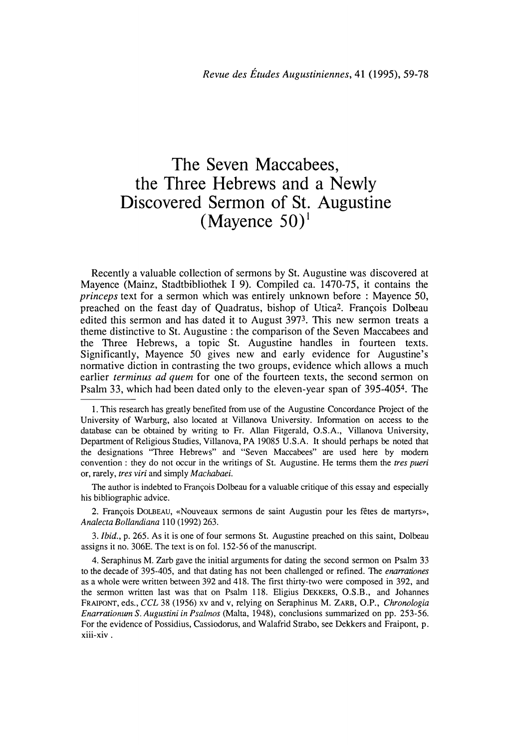# The Seven Maccabees, the Three Hebrews and a Newly Discovered Sermon of St. Augustine  $(Ma$ <sub>v</sub>ence  $50)^1$

Recently a valuable collection of sermons by St. Augustine was discovered at Mayence (Mainz, Stadtbibliothek I 9). Compiled ca. 1470-75, it contains the *princeps* text for a sermon which was entirely unknown before : Mayence 50, preached on the feast day of Quadratus, bishop of Utica<sup>2</sup>. François Dolbeau edited this sermon and has dated it to August 397<sup>3</sup> . This new sermon treats a theme distinctive to St. Augustine : the comparison of the Seven Maccabees and the Three Hebrews, a topic St. Augustine handles in fourteen texts. Significantly, Mayence 50 gives new and early evidence for Augustine's normative diction in contrasting the two groups, evidence which allows a much earlier *terminus ad quern* for one of the fourteen texts, the second sermon on Psalm 33, which had been dated only to the eleven-year span of 395-405<sup>4</sup> . The

The author is indebted to François Dolbeau for a valuable critique of this essay and especially his bibliographic advice.

2. François DOLBEAU, «Nouveaux sermons de saint Augustin pour les fêtes de martyrs», *AnalectaBollandiana* 110 (1992) 263.

3. *Ibid.,* p. 265. As it is one of four sermons St. Augustine preached on this saint, Dolbeau assigns it no. 306E. The text is on fol. 152-56 of the manuscript.

4. Seraphinus M. Zarb gave the initial arguments for dating the second sermon on Psalm 33 to the decade of 395-405, and that dating has not been challenged or refined. The *enarrationes*  as a whole were written between 392 and 418. The first thirty-two were composed in 392, and the sermon written last was that on Psalm 118. Eligius DEKKERS, O.S.B., and Johannes FRAIPONT, eds., *CCL* 38 (1956) xv and v, relying on Seraphinus M. ZARB, O.P., *Chronologia Enarrationum S. Augustini in Ρ salmos* (Malta, 1948), conclusions summarized on pp. 253-56. For the evidence of Possidius, Cassiodorus, and Walafrid Strabo, see Dekkers and Fraipont, p. xiii-xiv .

<sup>1.</sup> This research has greatly benefited from use of the Augustine Concordance Project of the University of Warburg, also located at Villanova University. Information on access to the database can be obtained by writing to Fr. Allan Fitgerald, O.S.Α., Villanova University, Department of Religious Studies, Villanova, PA 19085 U.S.A. It should perhaps be noted that the designations "Three Hebrews" and "Seven Maccabees" are used here by modern convention : they do not occur in the writings of St. Augustine. He terms them the *tres pueri*  or, rarely, *tres viri* and simply *Machabaei.*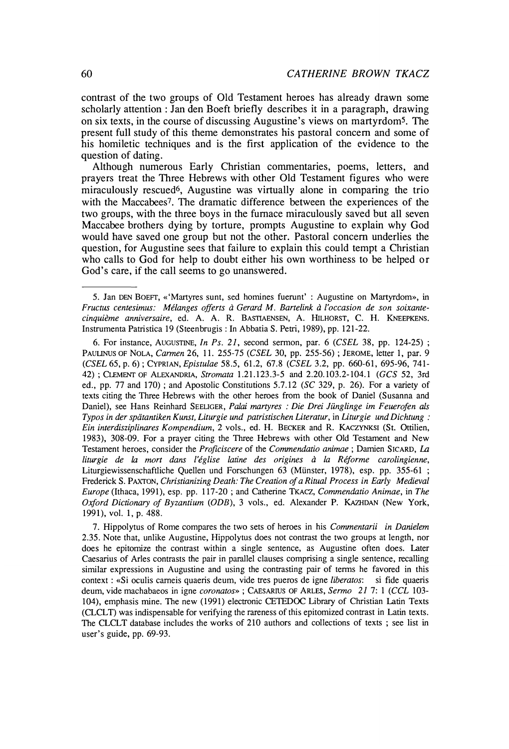contrast of the two groups of Old Testament heroes has already drawn some scholarly attention : Jan den Boeft briefly describes it in a paragraph, drawing on six texts, in the course of discussing Augustine's views on martyrdom<sup>5</sup> . The present full study of this theme demonstrates his pastoral concern and some of his homiletic techniques and is the first application of the evidence to the question of dating.

Although numerous Early Christian commentaries, poems, letters, and prayers treat the Three Hebrews with other Old Testament figures who were miraculously rescued<sup>6</sup> , Augustine was virtually alone in comparing the trio with the Maccabees<sup>7</sup> . The dramatic difference between the experiences of the two groups, with the three boys in the furnace miraculously saved but all seven Maccabee brothers dying by torture, prompts Augustine to explain why God would have saved one group but not the other. Pastoral concern underlies the question, for Augustine sees that failure to explain this could tempt a Christian who calls to God for help to doubt either his own worthiness to be helped or God's care, if the call seems to go unanswered.

7. Hippolytus of Rome compares the two sets of heroes in his *Commentarii in Danielem*  2.35. Note that, unlike Augustine, Hippolytus does not contrast the two groups at length, nor does he epitomize the contrast within a single sentence, as Augustine often does. Later Caesarius of Aries contrasts the pair in parallel clauses comprising a single sentence, recalling similar expressions in Augustine and using the contrasting pair of terms he favored in this context : «Si oculis carneis quaeris deum, vide tres pueros de igne *liberatosi* si fide quaeris deum, vide machabaeos in igne *coronatos» ;* CAESARIUS OF ARLES, *Sermo* 27 7: 1 *(CCL* 103- 104), emphasis mine. The new (1991) electronic CETEDOC Library of Christian Latin Texts (CLCLT) was indispensable for verifying the rareness of this epitomized contrast in Latin texts. The CLCLT database includes the works of 210 authors and collections of texts ; see list in user's guide, pp. 69-93.

<sup>5.</sup> Jan DEN BOEFT, «'Martyres sunt, sed homines fuerunt' : Augustine on Martyrdom», in *Fructus centesimus: Mélanges offerts à Gerard M. Bartelink à l'occasion de son soixantecinquième anniversaire,* éd. A. A. R. BASTIAENSEN, A. HILHORST, C. H. KNEEPKENS. Instrumenta Patristica 19 (Steenbrugis : In Abbatta S. Petri, 1989), pp. 121-22.

<sup>6.</sup> For instance, AUGUSTINE, *In Ps. 21,* second sermon, par. 6 *(CSEL* 38, pp. 124-25) ; PAULENUSOF NOLA, *Carmen* 26, 11. 255-75 *(CSEL* 30, pp. 255-56) ; JEROME, letter 1, par. 9 *(CSEL* 65, p. 6) ; CYPRIAN, *Epistulae* 58.5, 61.2, 67.8 *(CSEL* 3.2, pp. 660-61, 695-96, 741- 42) ; CLEMENT OF ALEXANDRIA, *Stromata* 1.21.123.3-5 and 2.20.103.2-104.1 *(GCS* 52, 3rd ed., pp. 77 and 170) ; and Apostolic Constitutions 5.7.12 *(SC* 329, p. 26). For a variety of texts citing the Three Hebrews with the other heroes from the book of Daniel (Susanna and Daniel), see Hans Reinhard SEELIGER, *Palai martyres : Die Drei Jünglinge im Feuerofen als Typos in der spätantiken Kunst, Liturgie und patristischen Literatur,* in *Liturgie und Dichtung : Ein interdisziplinares Kompendium, 2* vols., ed. H. BECKER and R. KACZYNKSI (St. Ottilien, 1983), 308-09. For a prayer citing the Three Hebrews with other Old Testament and New Testament heroes, consider the *Proficiscere* of the *Commendano animae ;* Damien SICARD, *La liturgie de la mort dans l'église latine des origines à la Réforme carolingienne,*  Liturgiewissenschaftliche Quellen und Forschungen 63 (Münster, 1978), esp. pp. 355-61 ; Frederick S. PAXTON, *Christianizing Death: The Creation of a Ritual Process in Early Medieval Europe* (Ithaca, 1991), esp. pp. 117-20 ; and Catherine TKACZ, *Commendano Animae,* in *The Oxford Dictionary of Byzantium (ODB),* 3 vols., ed. Alexander P. KAZHDAN (New York, 1991), vol. l,p. 488.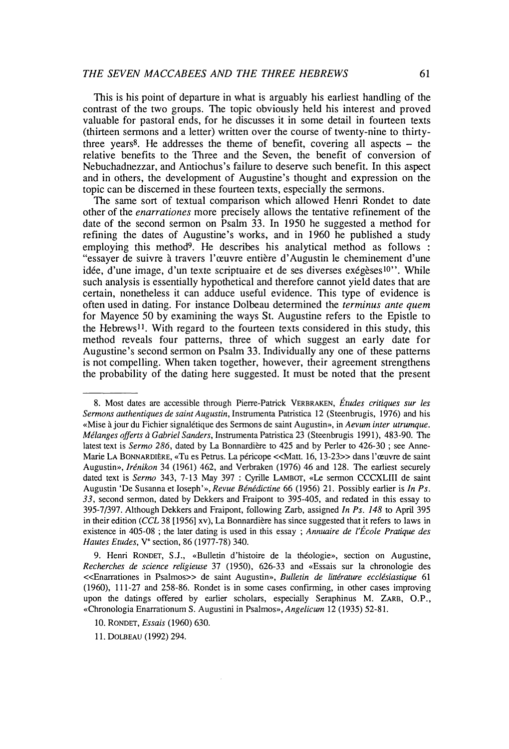This is his point of departure in what is arguably his earliest handling of the contrast of the two groups. The topic obviously held his interest and proved valuable for pastoral ends, for he discusses it in some detail in fourteen texts (thirteen sermons and a letter) written over the course of twenty-nine to thirtythree years<sup>8</sup> . He addresses the theme of benefit, covering all aspects - the relative benefits to the Three and the Seven, the benefit of conversion of Nebuchadnezzar, and Antiochus's failure to deserve such benefit. In this aspect and in others, the development of Augustine's thought and expression on the topic can be discerned in these fourteen texts, especially the sermons.

The same sort of textual comparison which allowed Henri Rondet to date other of the *enarrationes* more precisely allows the tentative refinement of the date of the second sermon on Psalm 33. In 1950 he suggested a method for refining the dates of Augustine's works, and in 1960 he published a study employing this method<sup>9</sup>. He describes his analytical method as follows : "essayer de suivre à travers l'œuvre entière d'Augustin le cheminement d'une idée, d'une image, d'un texte scriptuaire et de ses diverses exégèses<sup>10</sup>". While such analysis is essentially hypothetical and therefore cannot yield dates that are certain, nonetheless it can adduce useful evidence. This type of evidence is often used in dating. For instance Dolbeau determined the *terminus ante quern*  for Mayence 50 by examining the ways St. Augustine refers to the Epistle to the Hebrews<sup>11</sup>. With regard to the fourteen texts considered in this study, this method reveals four patterns, three of which suggest an early date for Augustine's second sermon on Psalm 33. Individually any one of these patterns is not compelling. When taken together, however, their agreement strengthens the probability of the dating here suggested. It must be noted that the present

<sup>8.</sup> Most dates are accessible through Pierre-Patrick VERBRAKEN, *Études critiques sur les Sermons authentiques de saint Augustin,* Instrumenta Patristica 12 (Steenbrugis, 1976) and his «Mise à jour du Fichier signalétique des Sermons de saint Augustin», in *Aevum inter utrumque. Mélanges offerts à Gabriel Sanders,* Instrumenta Patristica 23 (Steenbrugis 1991), 483-90. The latest text is *Sermo 286,* dated by La Bonnardière to 425 and by Perler to 426-30 ; see Anne-Marie LA BONNARDIÈRE, «Tu es Petrus. La péricope <<Matt. 16, 13-23>> dans l'œuvre de saint Augustin», *Irénikon* 34 (1961) 462, and Verbraken (1976) 46 and 128. The earliest securely dated text is *Sermo* 343, 7-13 May 397 : Cyrille LAMBOT, «Le sermon CCCXLIII de saint Augustin 'De Susanna et Ioseph'», *Revue Bénédictine* 66 (1956) 21. Possibly earlier is *In Ps. 33,* second sermon, dated by Dekkers and Fraipont to 395-405, and redated in this essay to 395-7/397. Although Dekkers and Fraipont, following Zarb, assigned *In Ps. 148* to April 395 in their edition *(CCL* 38 [1956] xv), La Bonnardière has since suggested that it refers to laws in existence in 405-08 ; the later dating is used in this essay ; *Annuaire de l'École Pratique des*  Hautes Etudes, V<sup>e</sup> section, 86 (1977-78) 340.

<sup>9.</sup> Henri RONDET, S.J., «Bulletin d'histoire de la théologie», section on Augustine, *Recherches de science religieuse* 37 (1950), 626-33 and «Essais sur la chronologie des «Enarrationes in Psalmos» de saint Augustin», *Bulletin de littérature ecclésiastique* 61 (1960), 111-27 and 258-86. Rondet is in some cases confirming, in other cases improving upon the datings offered by earlier scholars, especially Seraphinus M. ZARB, O.P., «Chronologia Enarrationum S. Augustini in Psalmos», *Angelicum* 12 (1935) 52-81.

<sup>10.</sup> RONDET, *Essais* (1960) 630.

<sup>11.</sup> DOLBEAU (1992) 294.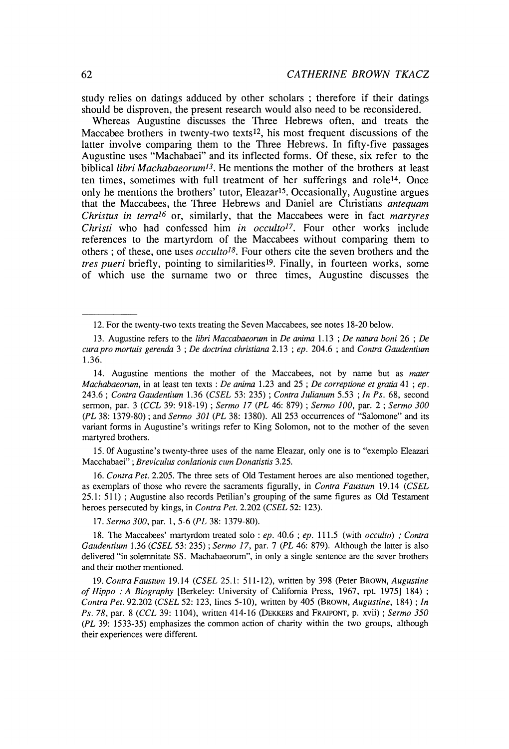study relies on datings adduced by other scholars ; therefore if their datings should be disproven, the present research would also need to be reconsidered.

Whereas Augustine discusses the Three Hebrews often, and treats the Maccabee brothers in twenty-two texts<sup>12</sup>, his most frequent discussions of the latter involve comparing them to the Three Hebrews. In fifty-five passages Augustine uses "Machabaei" and its inflected forms. Of these, six refer to the biblical *libri Machabaeorum<sup>13</sup> .* He mentions the mother of the brothers at least ten times, sometimes with full treatment of her sufferings and role<sup>14</sup>. Once only he mentions the brothers' tutor, Eleazar<sup>15</sup>, Occasionally, Augustine argues that the Maccabees, the Three Hebrews and Daniel are Christians *antequam Christus in terra<sup>16</sup>* or, similarly, that the Maccabees were in fact *martyres Christi* who had confessed him *in occulto<sup>17</sup> .* Four other works include references to the martyrdom of the Maccabees without comparing them to others ; of these, one uses *occulto<sup>18</sup> .* Four others cite the seven brothers and the *tres pueri* briefly, pointing to similarities<sup>19</sup> . Finally, in fourteen works, some of which use the surname two or three times, Augustine discusses the

15. Of Augustine's twenty-three uses of the name Eleazar, only one is to "exemplo Eleazari Macchabaei" ; *Breviculus conlationis cum Donatistis* 3.25.

16. *Contra Pet.* 2.205. The three sets of Old Testament heroes are also mentioned together, as exemplars of those who revere the sacraments figurally, in *Contra Faustum* 19.14 *(CSEL*  25.1: 511) ; Augustine also records Petilian's grouping of the same figures as Old Testament heroes persecuted by kings, in *Contra Pet.* 2.202 *(CSEL* 52: 123).

17. *Sermo 300,* par. 1, 5-6 *(PL* 38: 1379-80).

18. The Maccabees' martyrdom treated solo : *ep.* 40.6 ; *ep.* 111.5 (with *occulto) ; Contra Gaudentium* 1.36 *(CSEL* 53: 235) ; *Sermo 17,* par. 7 *(PL* 46: 879). Although the latter is also delivered "in solemnitate SS. Machabaeorum", in only a single sentence are the sever brothers and their mother mentioned.

19. *Contra Faustum* 19.14 *(CSEL* 25.1: 511-12), written by 398 (Peter BROWN, *Augustine of Hippo : A Biography* [Berkeley: University of California Press, 1967, rpt. 1975] 184) ; *Contra Pet.* 92.202 *(CSEL* 52: 123, lines 5-10), written by 405 (BROWN, *Augustine,* 184) ; *In Ps. 78,* par. 8 *(CCL* 39: 1104), written 414-16 (DEKKERS and FRAIPONT, p. xvii) ; *Sermo 350 (PL* 39: 1533-35) emphasizes the common action of charity within the two groups, although their experiences were different.

<sup>12.</sup> For the twenty-two texts treating the Seven Maccabees, see notes 18-20 below.

<sup>13.</sup> Augustine refers to the *libri Maccabaeorum* in *De anima* 1.13 ; *De natura boni* 26 ; *De cura pro mortuis gerenda* 3 ; *De doctrina Christiana* 2.13 ; *ep.* 204.6 ; and *Contra Gaudentium*  1.36.

<sup>14.</sup> Augustine mentions the mother of the Maccabees, not by name but as *mater Machabaeorum,* in at least ten texts : *De anima* 1.23 and 25 ; *De correpúone et grana* 41 ; *ep.*  243.6 ; *Contra Gaudentium* 1.36 *(CSEL* 53: 235) ; *Contra Julianum* 5.53 ; *In Ps.* 68, second sermon, par. 3 *(CCL* 39: 918-19) ; *Sermo 17 (PL* 46: 879) ; *Sermo 100,* par. 2 ; *Sermo 300 (PL* 38: 1379-80) ; and *Sermo 301 (PL* 38: 1380). All 253 occurrences of "Salomone" and its variant forms in Augustine's writings refer to King Solomon, not to the mother of the seven martyred brothers.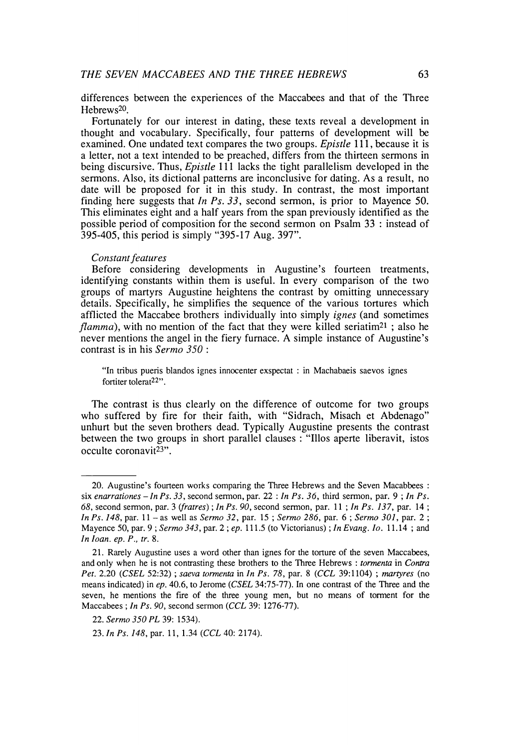differences between the experiences of the Maccabees and that of the Three Hebrews<sup>20</sup> .

Fortunately for our interest in dating, these texts reveal a development in thought and vocabulary. Specifically, four patterns of development will be examined. One undated text compares the two groups. *Epistle* 111, because it is a letter, not a text intended to be preached, differs from the thirteen sermons in being discursive. Thus, *Epistle* 111 lacks the tight parallelism developed in the sermons. Also, its dictional patterns are inconclusive for dating. As a result, no date will be proposed for it in this study. In contrast, the most important finding here suggests that *In Ps. 33,* second sermon, is prior to Mayence 50. This eliminates eight and a half years from the span previously identified as the possible period of composition for the second sermon on Psalm 33 : instead of 395-405, this period is simply "395-17 Aug. 397".

#### *Constant features*

Before considering developments in Augustine's fourteen treatments, identifying constants within them is useful. In every comparison of the two groups of martyrs Augustine heightens the contrast by omitting unnecessary details. Specifically, he simplifies the sequence of the various tortures which afflicted the Maccabee brothers individually into simply *ignes* (and sometimes flamma), with no mention of the fact that they were killed seriatim<sup>21</sup>; also he never mentions the angel in the fiery furnace. A simple instance of Augustine's contrast is in his *Sermo 350* :

"In tribus pueris blandos ignes innocenter exspectat : in Machabaeis saevos ignes fortiter tolerat $22$ ".

The contrast is thus clearly on the difference of outcome for two groups who suffered by fire for their faith, with "Sidrach, Misach et Abdenago" unhurt but the seven brothers dead. Typically Augustine presents the contrast between the two groups in short parallel clauses : "Illos aperte liberavit, istos occulte coronavit<sup>23</sup>".

<sup>20.</sup> Augustine's fourteen works comparing the Three Hebrews and the Seven Macabbees : six *enarrationes - In Ps. 33,* second sermon, par. 22 : *In Ps. 36,* third sermon, par. 9 ; *In Ps. 68,* second sermon, par. 3 *(fratres)* ; *In Ps. 90,* second sermon, par. 11 ; *In Ps. 137,* par. 14 ; *In Ps. 148,* **par. 11 - as well as** *Sermo 32,* **par. 15 ;** *Sermo 286,* **par. 6 ;** *Sermo 301,* **par. 2 ;**  Mayence 50, par. 9 ; *Sermo 343,* par. 2 ; *ep.* 111.5 (to Victorianus) ; *In Evang. Io.* 11.14 ; and *In loan. ep. P., tr.* **8.** 

<sup>21.</sup> Rarely Augustine uses a word other than ignes for the torture of the seven Maccabees, and only when he is not contrasting these brothers to the Three Hebrews : *tormenta* in *Contra Pet.* **2.20** *(CSEL* **52:32) ;** *saeva tormenta* **in** *In Ps. 78,* **par. 8** *(CCL* **39:1104) ;** *martyres* **(no**  means indicated) in *ep.* 40.6, to Jerome *(CSEL* 34:75-77). In one contrast of the Three and the seven, he mentions the fire of the three young men, but no means of torment for the Maccabees ; *In Ps. 90,* second sermon *(CCL* 39: 1276-77).

<sup>22.</sup> *Sermo 350 PL* 39: 1534).

<sup>23.</sup> *In Ps. 148,* par. 11, 1.34 *(CCL* 40: 2174).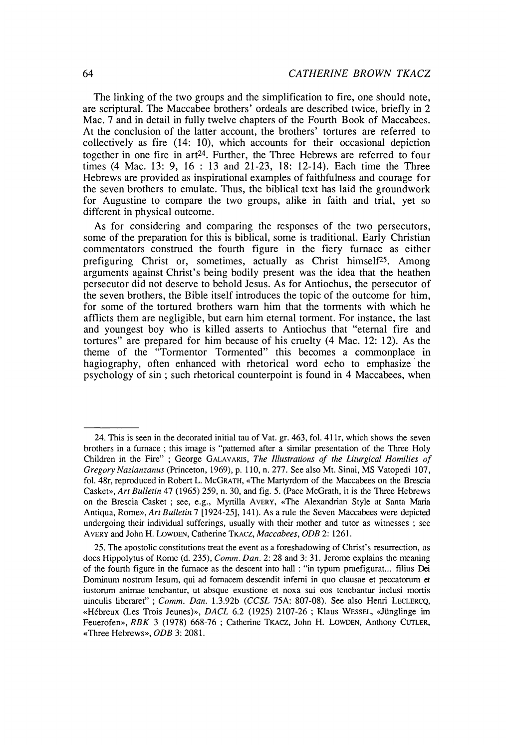The linking of the two groups and the simplification to fire, one should note, are scriptural. The Maccabee brothers' ordeals are described twice, briefly in 2 Mac. 7 and in detail in fully twelve chapters of the Fourth Book of Maccabees. At the conclusion of the latter account, the brothers' tortures are referred to collectively as fire (14: 10), which accounts for their occasional depiction together in one fire in art<sup>24</sup> . Further, the Three Hebrews are referred to four times (4 Mac. 13: 9, 16 : 13 and 21-23, 18: 12-14). Each time the Three Hebrews are provided as inspirational examples of faithfulness and courage for the seven brothers to emulate. Thus, the biblical text has laid the groundwork for Augustine to compare the two groups, alike in faith and trial, yet so different in physical outcome.

As for considering and comparing the responses of the two persecutors, some of the preparation for this is biblical, some is traditional. Early Christian commentators construed the fourth figure in the fiery furnace as either prefiguring Christ or, sometimes, actually as Christ himself<sup>25</sup>. Among arguments against Christ's being bodily present was the idea that the heathen persecutor did not deserve to behold Jesus. As for Antiochus, the persecutor of the seven brothers, the Bible itself introduces the topic of the outcome for him, for some of the tortured brothers warn him that the torments with which he afflicts them are negligible, but earn him eternal torment. For instance, the last and youngest boy who is killed asserts to Antiochus that "eternal fire and tortures" are prepared for him because of his cruelty (4 Mac. 12: 12). As the theme of the "Tormentor Tormented" this becomes a commonplace in hagiography, often enhanced with rhetorical word echo to emphasize the psychology of sin ; such rhetorical counterpoint is found in 4 Maccabees, when

<sup>24.</sup> This is seen in the decorated initial tau of Vat. gr. 463, fol. 41 Ir, which shows the seven brothers in a furnace ; this image is "patterned after a similar presentation of the Three Holy Children in the Fire" ; George GALAVARIS, *The Illustrations of the Liturgical Homilies of Gregory Nazianzanus* (Princeton, 1969), p. 110, n. 277. See also Mt. Sinai, MS Vatopedi 107, fol. 48r, reproduced in Robert L. MCGRATH, «The Martyrdom of the Maccabees on the Brescia Casket», *Art Bulletin* 47 (1965) 259, n. 30, and fig. 5. (Pace McGrath, it is the Three Hebrews on the Brescia Casket ; see, e.g., Myrtilla AVERY, «The Alexandrian Style at Santa Maria Antiqua, Rome», *Art Bulletin 1* [1924-25], 141). As a rule the Seven Maccabees were depicted undergoing their individual sufferings, usually with their mother and tutor as witnesses ; see AVERY and John H. LOWDEN, Catherine TKACZ, *Maccabees, ODB 2:* 1261.

<sup>25.</sup> The apostolic constitutions treat the event as a foreshadowing of Christ's resurrection, as does Hippolytus of Rome (d. 235), *Comm. Dan.* 2: 28 and 3: 31. Jerome explains the meaning of the fourth figure in the furnace as the descent into hall : "in typum praefigurat... filius Dei Dominum nostrum Iesum, qui ad fornacem descendit inferni in quo clausae et peccatorum et iustorum animae tenebantur, ut absque exustione et noxa sui eos tenebantur inclusi mortis uinculis liberaret" ; *Comm. Dan.* 1.3.92b *(CCSL* 75A: 807-08). See also Henri LECLERCQ, «Hébreux (Les Trois Jeunes)», *DACL* 6.2 (1925) 2107-26 ; Klaus WESSEL, «Jünglinge im Feuerofen», *RBK* 3 (1978) 668-76 ; Catherine TKACZ, John H. LOWDEN, Anthony CUTLER, «Three Hebrews», *ODB* 3: 2081.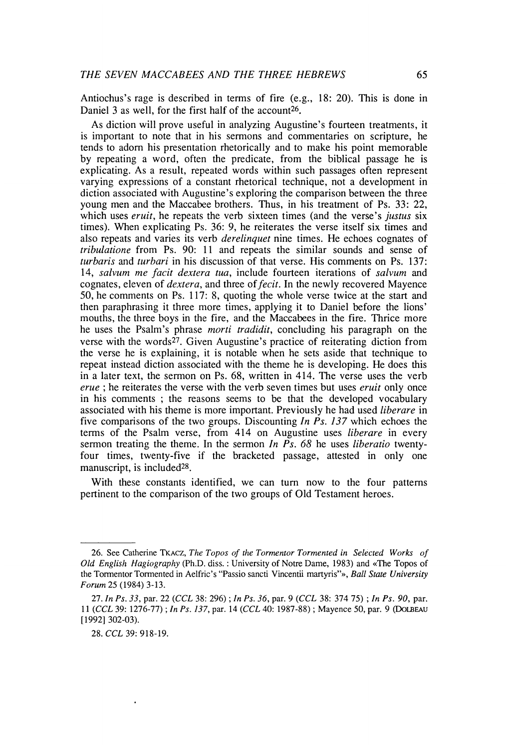Antiochus's rage is described in terms of fire (e.g., 18: 20). This is done in Daniel 3 as well, for the first half of the account<sup>26</sup>.

As diction will prove useful in analyzing Augustine's fourteen treatments, it is important to note that in his sermons and commentaries on scripture, he tends to adorn his presentation rhetorically and to make his point memorable by repeating a word, often the predicate, from the biblical passage he is explicating. As a result, repeated words within such passages often represent varying expressions of a constant rhetorical technique, not a development in diction associated with Augustine's exploring the comparison between the three young men and the Maccabee brothers. Thus, in his treatment of Ps. 33: 22, which uses *eruit*, he repeats the verb sixteen times (and the verse's *justus* six times). When explicating Ps. 36: 9, he reiterates the verse itself six times and also repeats and varies its verb *derelinquet* nine times. He echoes cognates of *tribulatione* from Ps. 90: 11 and repeats the similar sounds and sense of *turbans* and *turban* in his discussion of that verse. His comments on Ps. 137: 14, salvum me facit dextera tua, include fourteen iterations of salvum and cognates, eleven of *dextera*, and three of *fecit*. In the newly recovered Mayence 50, he comments on Ps. 117: 8, quoting the whole verse twice at the start and then paraphrasing it three more times, applying it to Daniel before the lions' mouths, the three boys in the fire, and the Maccabees in the fire. Thrice more he uses the Psalm's phrase *morti tradidit,* concluding his paragraph on the verse with the words<sup>27</sup>. Given Augustine's practice of reiterating diction from the verse he is explaining, it is notable when he sets aside that technique to repeat instead diction associated with the theme he is developing. He does this in a later text, the sermon on Ps. 68, written in 414. The verse uses the verb *erue* ; he reiterates the verse with the verb seven times but uses *eruit* only once in his comments ; the reasons seems to be that the developed vocabulary associated with his theme is more important. Previously he had used *liberare* in five comparisons of the two groups. Discounting *In Ps. 137* which echoes the terms of the Psalm verse, from 414 on Augustine uses *liberare* in every sermon treating the theme. In the sermon *In Ps. 68* he uses *liberado* twentyfour times, twenty-five if the bracketed passage, attested in only one manuscript, is included<sup>28</sup>.

With these constants identified, we can turn now to the four patterns pertinent to the comparison of the two groups of Old Testament heroes.

<sup>26.</sup> See Catherine TKACZ, *The Topos of the Tormentor Tormented in Selected Works of Old English Hagiography* (Ph.D. diss. : University of Notre Dame, 1983) and «The Topos of the Tormentor Tormented in Aelfric's "Passio sancti Vincentii martyris"», *Ball State University Forum* 25 (1984) 3-13.

<sup>27.</sup> *In Ps. 33,* par. 22 *(CCL* 38: 296) ; *In Ps. 36,* par. 9 *(CCL* 38: 374 75) ; *In Ps. 90,* par. 11 *(CCL* 39: *1116-11)* ; *In Ps. 137,* par. 14 *(CCL* 40: 1987-88) ; Mayence 50, par. 9 (DOLBEAU [1992] 302-03).

<sup>28.</sup> *CCL* 39: 918-19.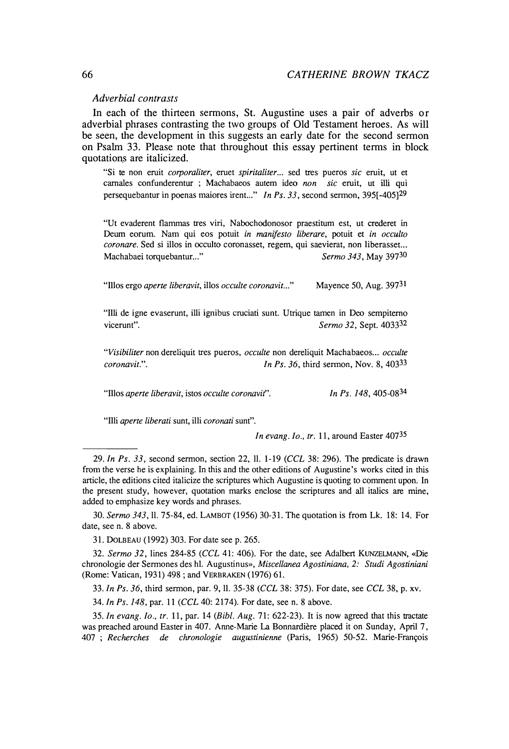### *Adverbial contrasts*

In each of the thirteen sermons, St. Augustine uses a pair of adverbs or adverbial phrases contrasting the two groups of Old Testament heroes. As will be seen, the development in this suggests an early date for the second sermon on Psalm 33. Please note that throughout this essay pertinent terms in block quotations are italicized.

"Si te non emit *corporaliter,* eruet *spiritaliter...* sed tres pueros *sic* emit, ut et carnales confunderentur ; Machabaeos autem ideo *non sic* emit, ut illi qui persequebantur in poenas maiores irent..." *In Ps. 33,* second sermon, 395[-405]<sup>29</sup>

"Ut évadèrent flammas tres viri, Nabochodonosor praestitum est, ut crederet in Deum eorum. Nam qui eos potuit *in manifesto liberare,* potuit et *in occulto coronare.* Sed si illos in occulto coronasset, regem, qui saevierat, non liberasset...<br>Machabaei torquebantur..."<br>Sermo 343. May 39730 Machabaei torquebantur..."

**"Illos ergo** *aperte liberavit,* **illos** *occulte coronava..."* **Mayence 50, Aug. 397<sup>31</sup>**

"Uli de igne evaserunt, illi ignibus cruciati sunt. Utrique tarnen in Deo sempiterno vicerunt". *Sermo 32,* Sept. 4033<sup>32</sup>

*"Visibiliter* non dereliquit tres pueros, *occulte* non dereliquit Machabaeos... *occulte coronavit.*". *In Ps. 36, third sermon, Nov. 8, 40333* 

**"Illos** *aperte liberavit,* **istos** *occulte coronavit". In Ps. 148,* **405-08<sup>34</sup>**

**"Uli** *aperte liberati* **sunt, illi** *coronati* **sunt".** 

*In evang. Io., tr.* 11, around Easter 407<sup>3</sup> 5

30. *Sermo 343,*11. 75-84, ed. LAMBOT (1956) 30-31. The quotation is from Lk. 18: 14. For date, see n. 8 above.

32. *Sermo 32,* lines 284-85 *(CCL* 41: 406). For the date, see Adalbert KUNZELMANN, «Die **chronolo**g**ie** d**er Sermones** d**es hl. Au**g**ustinus»,** *Miscellanea Agostiniana, 2: Studi Agostiniani*  (Rome: Vatican, 1931) 498 ; and VERBRAKEN (1976) 61.

33. *In Ps. 36,* third sermon, par. 9,11. 35-38 *(CCL* 38: 375). For date, see *CCL* 38, p. xv.

34. *In Ps. 148,* par. 11 *(CCL* 40: 2174). For date, see n. 8 above.

35. *In evang. Io., tr.* 11, par. 14 *(Bibl. Aug.* 71: 622-23). It is now agreed that this tractate was preached around Easter in 407. Anne-Marie La Bonnardière placed it on Sunday, April 7, 407 ; *Recherches de chronologie augustinienne* (Paris, 1965) 50-52. Marie-François

<sup>29.</sup> *In Ps. 33,* second sermon, section 22, 11. 1-19 *(CCL* 38: 296). The predicate is drawn from the verse he is explaining. In this and the other editions of Augustine's works cited in this article, the editions cited italicize the scriptures which Augustine is quoting to comment upon. In the present study, however, quotation marks enclose the scriptures and all italics are mine, added to emphasize key words and phrases.

<sup>31.</sup> DOLBEAU (1992) 303. For date see p. 265.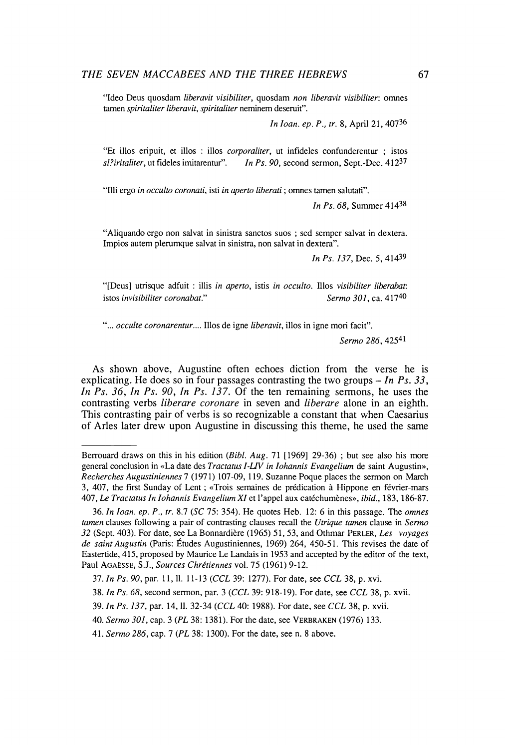"Ideo Deus quosdam liberavit visibiliter, quosdam non liberavit visibiliter: omnes tarnen *spiritaliter liberavit, spiritaliter* neminem deseruit".

*In loan. ep. P., tr.* 8, April 21, 407<sup>36</sup>

"Et illos eripuit, et illos : illos *corporaliter,* ut infideles confunderentur ; istos *süiritaliter,* ut fidèles imitarentur". *In Ps. 90,* second sermon, Sept.-Dec. 412<sup>37</sup>

"Uli ergo *in occulto coronati,* isti *in aperto liberati* ; omnes tarnen salutati".

*In Ps. 68,* Summer 414<sup>3</sup> »

"Aliquando ergo non salvat in sinistra sanctos suos ; sed semper salvat in dextera. Impíos autem plerumque salvat in sinistra, non salvat in dextera".

*In Ps. 137,* Dee. 5, 41439

"[Deus] utrisque adfuit : illis *in aperto,* istis *in occulto.* Illos *visibiliter liberabat.*  istos *invisibiliter coronabat*." Sermo 301, ca. 417<sup>40</sup>

"... *occulte coronarentur....* Illos de igne *liberavit,* illos in igne mori facit".

*Sermo 286,* 4254i

As shown above, Augustine often echoes diction from the verse he is explicating. He does so in four passages contrasting the two groups – *In Ps.* 33, *In Ps. 36, In Ps. 90, In Ps. 137.* Of the ten remaining sermons, he uses the contrasting verbs *liberare coronare* in seven and *liberare* alone in an eighth. This contrasting pair of verbs is so recognizable a constant that when Caesarius of Aries later drew upon Augustine in discussing this theme, he used the same

Berrouard draws on this in his edition *(Bibl. Aug.* 71 [1969] 29-36) ; but see also his more general conclusion in «La date des *Tractatus I-UV in Iohannis Evangelium* de saint Augustin», *Recherches Augustiniennes 1* (1971) 107-09, 119. Suzanne Poque places the sermon on March 3, 407, the first Sunday of Lent ; «Trois semaines de prédication à Hippone en février-mars 407, *Le Tractatus In Iohannis Evangelium XI* et l'appel aux catéchumènes», *ibid.,* 183, 186-87.

<sup>36.</sup> *In loan. ep. P., tr.* 8.7 *(SC* 75: 354). He quotes Heb. 12: 6 in this passage. The *omnes tarnen* clauses following a pair of contrasting clauses recall the *Utrique tarnen* clause in *Sermo 32* (Sept. 403). For date, see La Bonnardière (1965) 51, 53, and Othmar PERLER, *Les voyages de saint Augustin* (Paris: Études Augustiniennes, 1969) 264, 450-51. This revises the date of Eastertide, 415, proposed by Maurice Le Landais in 1953 and accepted by the editor of the text, Paul AGAËSSE, S.J., *Sources Chrétiennes* vol. 75 (1961) 9-12.

<sup>37.</sup> *In Ps. 90,* par. 11,11. 11-13 *(CCL* 39: 1277). For date, see *CCL* 38, p. xvi.

<sup>38.</sup> *In Ps. 68,* second sermon, par. 3 *(CCL* 39: 918-19). For date, see *CCL* 38, p. xvii.

<sup>39.</sup> *In Ps. 137,* par. 14,11. 32-34 *(CCL* 40: 1988). For date, see *CCL* 38, p. xvii.

<sup>40.</sup> *Sermo 301,* cap. 3 *(PL* 38: 1381). For the date, see VERBRAKEN (1976) 133.

<sup>41.</sup> *Sermo 286,* cap. 7 *(PL* 38: 1300). For the date, see n. 8 above.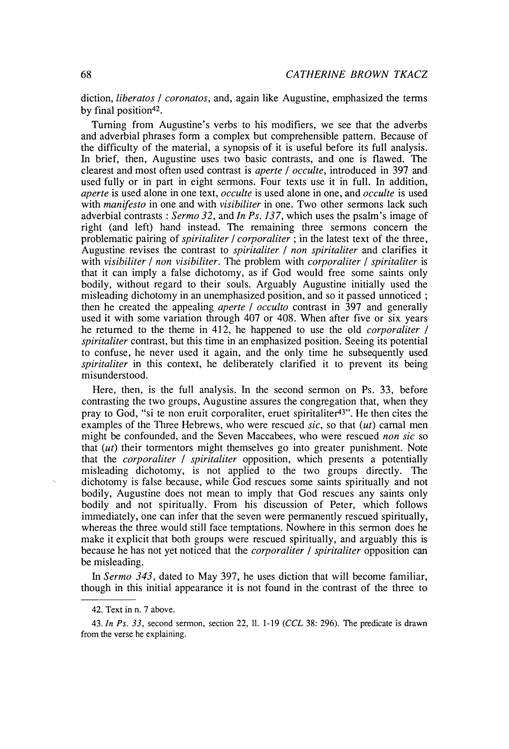diction, *liberatos I coronatos,* and, again like Augustine, emphasized the terms by final position<sup>42</sup>.

Turning from Augustine's verbs to his modifiers, we see that the adverbs and adverbial phrases form a complex but comprehensible pattern. Because of the difficulty of the material, a synopsis of it is useful before its full analysis. In brief, then, Augustine uses two basic contrasts, and one is flawed. The clearest and most often used contrast is *aperte / occulte,* introduced in 397 and used fully or in part in eight sermons. Four texts use it in full. In addition, *aperte* is used alone in one text, *occulte* is used alone in one, and *occulte* is used with *manifesto* in one and with *visibiliter* in one. Two other sermons lack such adverbial contrasts : *Sermo 32,* and *In Ps. 137,* which uses the psalm's image of right (and left) hand instead. The remaining three sermons concern the problematic pairing of *spiritaliter* / *corporaliter ;* in the latest text of the three, Augustine revises the contrast to *spiritaliter / non spiritaliter* and clarifies it with *visibiliter / non visibiliter.* The problem with *corporaliter / spiritaliter* is that it can imply a false dichotomy, as if God would free some saints only bodily, without regard to their souls. Arguably Augustine initially used the misleading dichotomy in an unemphasized position, and so it passed unnoticed ; then he created the appealing *aperte I occulto* contrast in 397 and generally used it with some variation through 407 or 408. When after five or six years he returned to the theme in 412, he happened to use the old *corporaliter* / *spiritaliter* contrast, but this time in an emphasized position. Seeing its potential to confuse, he never used it again, and the only time he subsequently used *spiritaliter* in this context, he deliberately clarified it to prevent its being misunderstood.

Here, then, is the full analysis. In the second sermon on Ps. 33, before contrasting the two groups, Augustine assures the congregation that, when they pray to God, "si te non emit corporaliter, eruet spiritaliter<sup>43</sup>". He then cites the examples of the Three Hebrews, who were rescued *sic,* so that *(ut)* carnal men might be confounded, and the Seven Maccabees, who were rescued *non sic* so that *(ut)* their tormentors might themselves go into greater punishment. Note that the *corporaliter I spiritaliter* opposition, which presents a potentially misleading dichotomy, is not applied to the two groups directly. The dichotomy is false because, while God rescues some saints spiritually and not bodily, Augustine does not mean to imply that God rescues any saints only bodily and not spiritually. From his discussion of Peter, which follows immediately, one can infer that the seven were permanently rescued spiritually, whereas the three would still face temptations. Nowhere in this sermon does he make it explicit that both groups were rescued spiritually, and arguably this is because he has not yet noticed that the *corporaliter I spiritaliter* opposition can be misleading.

In *Sermo 343,* dated to May 397, he uses diction that will become familiar, though in this initial appearance it is not found in the contrast of the three to

<sup>42.</sup> Text in n. 7 above.

*<sup>43.</sup> In Ps. 33,* second sermon, section 22, 11. 1-19 *(CCL* 38: 296). The predicate is drawn from the verse he explaining.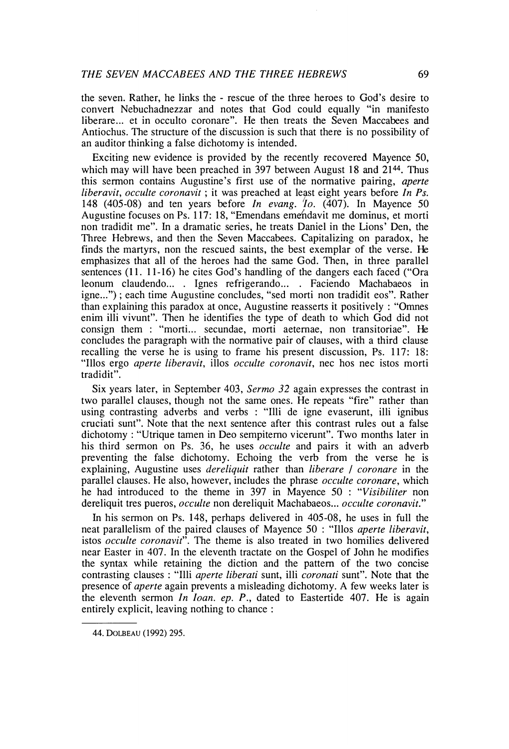the seven. Rather, he links the - rescue of the three heroes to God's desire to convert Nebuchadnezzar and notes that God could equally "in manifesto liberare... et in occulto coronare". He then treats the Seven Maccabees and Antiochus. The structure of the discussion is such that there is no possibility of an auditor thinking a false dichotomy is intended.

Exciting new evidence is provided by the recently recovered Mayence 50, which may will have been preached in 397 between August 18 and 21<sup>44</sup>. Thus this sermon contains Augustine's first use of the normative pairing, *aperte liberavit, occulte coronavit*; it was preached at least eight years before In Ps. 148 (405-08) and ten years before *In evang. Io.* (407). In Mayence 50 Augustine focuses on Ps. 117: 18, "Emendans emefidavit me dominus, et morti non tradidit me". In a dramatic series, he treats Daniel in the Lions' Den, the Three Hebrews, and then the Seven Maccabees. Capitalizing on paradox, he finds the martyrs, non the rescued saints, the best exemplar of the verse. He emphasizes that all of the heroes had the same God. Then, in three parallel sentences (11. 11-16) he cites God's handling of the dangers each faced ("Ora leonum claudendo... . Ignes refrigerando... . Faciendo Machabaeos in igne...") ; each time Augustine concludes, "sed morti non tradidit eos". Rather than explaining this paradox at once, Augustine reasserts it positively : "Omnes enim illi vivunt". Then he identifies the type of death to which God did not consign them : "morti... secundae, morti aeternae, non transitoriae". He concludes the paragraph with the normative pair of clauses, with a third clause recalling the verse he is using to frame his present discussion, Ps. 117: 18: "Illos ergo *aperte liberavit*, illos *occulte coronavit*, nec hos nec istos morti tradidit".

Six years later, in September 403, Sermo 32 again expresses the contrast in two parallel clauses, though not the same ones. He repeats "fire" rather than using contrasting adverbs and verbs : "UH de igne evaserunt, illi ignibus cruciati sunt". Note that the next sentence after this contrast rules out a false dichotomy : "Utrique tamen in Deo sempiterno vicerunt". Two months later in his third sermon on Ps. 36, he uses *occulte* and pairs it with an adverb preventing the false dichotomy. Echoing the verb from the verse he is explaining, Augustine uses *dereliquit* rather than *liberare I coronare* in the parallel clauses. He also, however, includes the phrase *occulte coronare,* which he had introduced to the theme in 397 in Mayence 50 : *"Visibiliter* non dereliquit tres pueros, *occulte* non dereliquit Machabaeos... *occulte coronavit.*"

In his sermon on Ps. 148, perhaps delivered in 405-08, he uses in full the neat parallelism of the paired clauses of Mayence 50 : "Illos *aperte liberavit*, istos *occulte coronavit*". The theme is also treated in two homilies delivered near Easter in 407. In the eleventh tractate on the Gospel of John he modifies the syntax while retaining the diction and the pattern of the two concise contrasting clauses : "Illi *aperte liberati* sunt, illi *coronati* sunt". Note that the presence of *aperte* again prevents a misleading dichotomy. A few weeks later is the eleventh sermon *In loan. ep. P.,* dated to Eastertide 407. He is again entirely explicit, leaving nothing to chance :

<sup>44.</sup> DOLBEAU (1992) 295.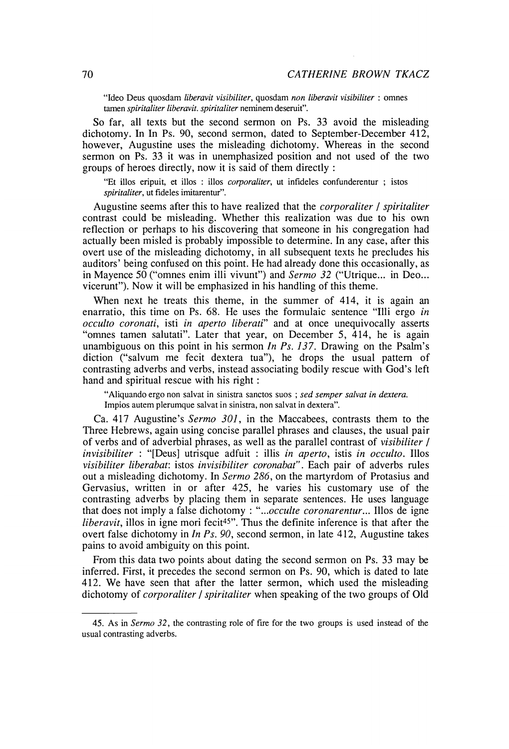"Ideo Deus quosdam *liberavit visibiliter*, quosdam non liberavit visibiliter : omnes tarnen *spiritaliter liberavit. spiritaliter* neminem deseruit".

So far, all texts but the second sermon on Ps. 33 avoid the misleading dichotomy. In In Ps. 90, second sermon, dated to September-December 412, however, Augustine uses the misleading dichotomy. Whereas in the second sermon on Ps. 33 it was in unemphasized position and not used of the two groups of heroes directly, now it is said of them directly :

"Et illos eripuit, et illos : illos *corporaliter,* ut infideles confunderentur ; istos *spiritaliter,* ut fidèles imitarentur".

Augustine seems after this to have realized that the *corporaliter* / *spiritaliter*  contrast could be misleading. Whether this realization was due to his own reflection or perhaps to his discovering that someone in his congregation had actually been misled is probably impossible to determine. In any case, after this overt use of the misleading dichotomy, in all subsequent texts he precludes his auditors' being confused on this point. He had already done this occasionally, as in Mayence 50 ("omnes enim illi vivunt") and *Sermo 32* ("Utrique... in Deo... vicerunt"). Now it will be emphasized in his handling of this theme.

When next he treats this theme, in the summer of 414, it is again an enarratio, this time on Ps. 68. He uses the formulaic sentence "Uli ergo *in occulto coronati,* isti *in aperto liberati"* and at once unequivocally asserts "omnes tamen salutati". Later that year, on December 5, 414, he is again unambiguous on this point in his sermon *In Ps. 137.* Drawing on the Psalm's diction ("salvum me fecit dextera tua"), he drops the usual pattern of contrasting adverbs and verbs, instead associating bodily rescue with God's left hand and spiritual rescue with his right :

"Aliquando ergo non salvai in sinistra sanctos suos ; *sed semper salvai in dextera.*  Impios autem plerumque salvat in sinistra, non salvat in dextera".

Ca. 417 Augustine's *Sermo 301,* in the Maccabees, contrasts them to the Three Hebrews, again using concise parallel phrases and clauses, the usual pair of verbs and of adverbial phrases, as well as the parallel contrast of *visibiliter / invisibiliter* : "[Deus] utrisque adfuit : illis *in aperto,* istis *in occulto.* Illos *visibiliter liberabat:* istos *invisibiliter coronabat"*'. Each pair of adverbs rules out a misleading dichotomy. In *Sermo 286,* on the martyrdom of Protasius and Gervasius, written in or after 425, he varies his customary use of the contrasting adverbs by placing them in separate sentences. He uses language that does not imply a false dichotomy : *"...occulte coronarentur...* Illos de igne *liberavit*, illos in igne mori fecit<sup>45"</sup>. Thus the definite inference is that after the overt false dichotomy in *In Ps. 90,* second sermon, in late 412, Augustine takes pains to avoid ambiguity on this point.

From this data two points about dating the second sermon on Ps. 33 may be inferred. First, it precedes the second sermon on Ps. 90, which is dated to late 412. We have seen that after the latter sermon, which used the misleading dichotomy of *corporaliter / spiritaliter* when speaking of the two groups of Old

<sup>45.</sup> As in *Sermo 32,* the contrasting role of fire for the two groups is used instead of the usual contrasting adverbs.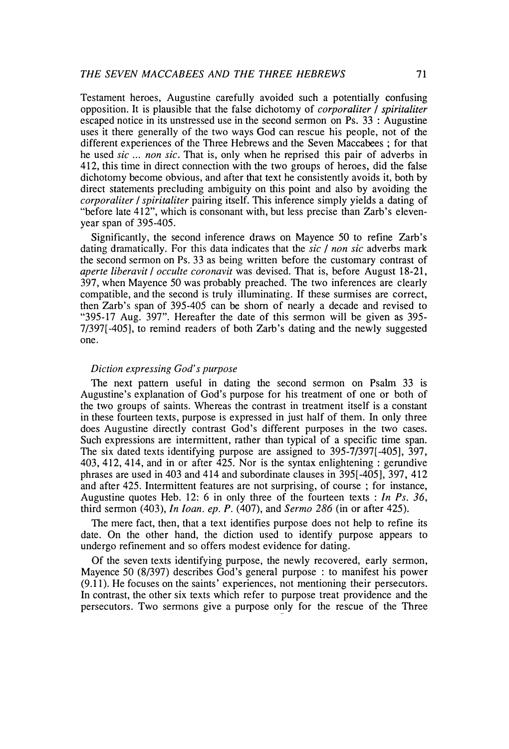Testament heroes, Augustine carefully avoided such a potentially confusing opposition. It is plausible that the false dichotomy of *corporaliter / spiritaliter*  escaped notice in its unstressed use in the second sermon on Ps. 33 : Augustine uses it there generally of the two ways God can rescue his people, not of the different experiences of the Three Hebrews and the Seven Maccabees ; for that he used *sic* ... *non sic.* That is, only when he reprised this pair of adverbs in 412, this time in direct connection with the two groups of heroes, did the false dichotomy become obvious, and after that text he consistently avoids it, both by direct statements precluding ambiguity on this point and also by avoiding the *corporaliter I spiritaliter* pairing itself. This inference simply yields a dating of "before late 412", which is consonant with, but less precise than Zarb's elevenyear span of 395-405.

Significantly, the second inference draws on Mayence 50 to refine Zarb's dating dramatically. For this data indicates that the *sic* / *non sic* adverbs mark the second sermon on Ps. 33 as being written before the customary contrast of *aperte liberavit | occulte coronavit* was devised. That is, before August 18-21, 397, when Mayence 50 was probably preached. The two inferences are clearly compatible, and the second is truly illuminating. If these surmises are correct, then Zarb's span of 395-405 can be shorn of nearly a decade and revised to "395-17 Aug. 397". Hereafter the date of this sermon will be given as 395- 7/397[-405], to remind readers of both Zarb's dating and the newly suggested one.

#### *Diction expressing God's purpose*

The next pattern useful in dating the second sermon on Psalm 33 is Augustine's explanation of God's purpose for his treatment of one or both of the two groups of saints. Whereas the contrast in treatment itself is a constant in these fourteen texts, purpose is expressed in just half of them. In only three does Augustine directly contrast God's different purposes in the two cases. Such expressions are intermittent, rather than typical of a specific time span. The six dated texts identifying purpose are assigned to 395-7/397[-405], 397, 403, 412, 414, and in or after 425. Nor is the syntax enlightening : gerundive phrases are used in 403 and 414 and subordinate clauses in 395[-405], 397, 412 and after 425. Intermittent features are not surprising, of course ; for instance, Augustine quotes Heb. 12: 6 in only three of the fourteen texts : *In Ps. 36,*  third sermon (403), *In loan. ep. P.* (407), and *Sermo 286* (in or after 425).

The mere fact, then, that a text identifies purpose does not help to refine its date. On the other hand, the diction used to identify purpose appears to undergo refinement and so offers modest evidence for dating.

Of the seven texts identifying purpose, the newly recovered, early sermon, Mayence 50 (8/397) describes God's general purpose : to manifest his power (9.11). He focuses on the saints' experiences, not mentioning their persecutors. In contrast, the other six texts which refer to purpose treat providence and the persecutors. Two sermons give a purpose only for the rescue of the Three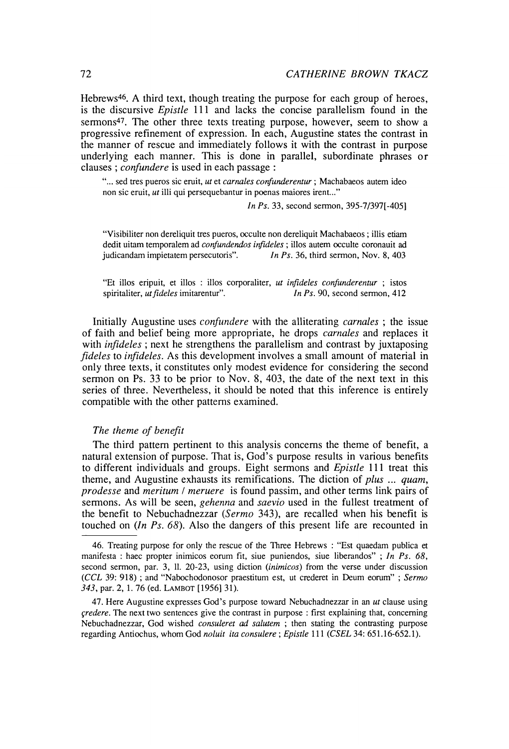Hebrews<sup>46</sup>. A third text, though treating the purpose for each group of heroes, is the discursive *Epistle* 111 and lacks the concise parallelism found in the sermons<sup>47</sup>. The other three texts treating purpose, however, seem to show a progressive refinement of expression. In each, Augustine states the contrast in the manner of rescue and immediately follows it with the contrast in purpose underlying each manner. This is done in parallel, subordinate phrases or clauses ; *confundere* is used in each passage :

"... sed tres pueros sic eruit, *ut* et *carnales confunderentur* ; Machabaeos autem ideo non sic eruit, *ut* illi qui persequebantur in poenas maiores irent..."

*In Ps.* 33, second sermon, 395-7/397[-405]

"Visibiliter non dereliquit tres pueros, occulte non dereliquit Machabaeos ; illis eüam dedit uitam temporalem ad *confundendos infideles* ; illos autem occulte coronauit ad indicandam impietatem persecutoris". *In Ps.* 36, third sermon, Nov. 8, 403 judicandam impietatem persecutoris".

"Et illos eripuit, et illos : illos corporaliter, *ut infideles confunderentur* ; istos spiritaliter, *ut fideles* imitarentur". *In Ps.* 90, second sermon, 412 spiritaliter, *ut fideles* imitarentur".

Initially Augustine uses *confundere* with the alliterating *carnales* ; the issue of faith and belief being more appropriate, he drops *carnales* and replaces it with *infideles* ; next he strengthens the parallelism and contrast by juxtaposing *fidèles* to *infideles.* As this development involves a small amount of material in only three texts, it constitutes only modest evidence for considering the second sermon on Ps. 33 to be prior to Nov. 8, 403, the date of the next text in this series of three. Nevertheless, it should be noted that this inference is entirely compatible with the other patterns examined.

## *The theme of benefit*

The third pattern pertinent to this analysis concerns the theme of benefit, a natural extension of purpose. That is, God's purpose results in various benefits to different individuals and groups. Eight sermons and *Epistle* 111 treat this theme, and Augustine exhausts its remifications. The diction of *plus* ... *quam, prodesse* and *meritum / meruere* is found passim, and other terms link pairs of sermons. As will be seen, *gehenna* and *saevio* used in the fullest treatment of the benefit to Nebuchadnezzar *(Sermo* 343), are recalled when his benefit is touched on *(In Ps. 68).* Also the dangers of this present life are recounted in

<sup>46.</sup> Treating purpose for only the rescue of the Three Hebrews : "Est quaedam publica et manifesta : haec propter inimicos eorum fit, siue puniendos, siue liberandos" ; *In Ps. 68,*  second sermon, par. 3, 11. 20-23, using diction *(inimicos)* from the verse under discussion *(CCL* 39: 918) ; and "Nabochodonosor praestitum est, ut crederei in Deum eorum" ; *Sermo 343,* par. 2, 1. 76 (ed. LAMBOT [1956] 31).

<sup>47.</sup> Here Augustine expresses God's purpose toward Nebuchadnezzar in an *ut* clause using *credere.* The next two sentences give the contrast in purpose : first explaining that, concerning Nebuchadnezzar, God wished *consuleret ad salutem* ; then stating the contrasting purpose regarding Antiochus, whom God *noluit ita consulere* ; *Epistle* 111 *(CSEL* 34: 651.16-652.1).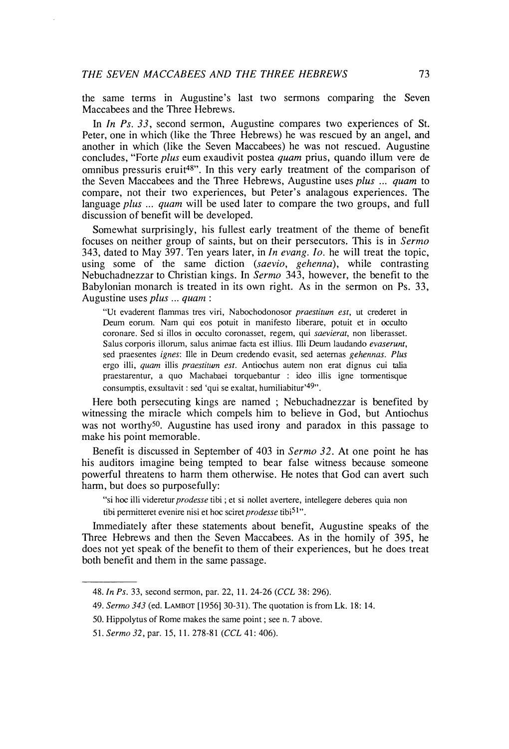the same terms in Augustine's last two sermons comparing the Seven Maccabees and the Three Hebrews.

In *In Ps. 33,* second sermon, Augustine compares two experiences of St. Peter, one in which (like the Three Hebrews) he was rescued by an angel, and another in which (like the Seven Maccabees) he was not rescued. Augustine concludes, "Forte *plus* eum exaudivit postea *quam* prius, quando ilium vere de omnibus pressuris eruit<sup>48</sup>". In this very early treatment of the comparison of the Seven Maccabees and the Three Hebrews, Augustine uses *plus* ... *quam* to compare, not their two experiences, but Peter's analagous experiences. The language *plus* ... *quam* will be used later to compare the two groups, and full discussion of benefit will be developed.

Somewhat surprisingly, his fullest early treatment of the theme of benefit focuses on neither group of saints, but on their persecutors. This is in *Sermo*  343, dated to May 397. Ten years later, in *In evang. Io.* he will treat the topic, using some of the same diction *(saevio, gehenna),* while contrasting Nebuchadnezzar to Christian kings. In *Sermo* 343, however, the benefit to the Babylonian monarch is treated in its own right. As in the sermon on Ps. 33, Augustine uses *plus* ... *quam* :

"Ut évadèrent flammas tres viri, Nabochodonosor *praestitum est,* ut crederei in Deum eorum. Nam qui eos potuit in manifesto liberare, potuit et in occulto coronare. Sed si illos in occulto coronasset, regem, qui *saevierat,* non liberasset. Salus corporis illorum, salus animae facta est illius. Uli Deum laudando *evaserunt,*  sed praesentes *ignes:* Ille in Deum credendo evasit, sed aeternas *gehennas. Plus*  ergo illi, *quam* illis *praestitum est.* Antiochus autem non erat dignus cui talia praestarentur, a quo Machabaei torquebantur : ideo illis igne tormentisque consumptis, exsultavit : sed 'qui se exaltât, humiliabitur'<sup>49</sup>".

Here both persecuting kings are named ; Nebuchadnezzar is benefited by witnessing the miracle which compels him to believe in God, but Antiochus was not worthy<sup>50</sup>. Augustine has used irony and paradox in this passage to make his point memorable.

Benefit is discussed in September of 403 in *Sermo 32*. At one point he has his auditors imagine being tempted to bear false witness because someone powerful threatens to harm them otherwise. He notes that God can avert such harm, but does so purposefully:

"si hoc illi videretur *prodesse* tibi ; et si nollet avertere, intellegere deberes quia non tibi permitteret evenire nisi et hoc sciret*prodesse* tibi<sup>5</sup> !".

Immediately after these statements about benefit, Augustine speaks of the Three Hebrews and then the Seven Maccabees. As in the homily of 395, he does not yet speak of the benefit to them of their experiences, but he does treat both benefit and them in the same passage.

<sup>48.</sup> *In Ps.* 33, second sermon, par. 22, 11. 24-26 *(CCL* 38: 296).

<sup>49.</sup> *Sermo 343* (ed. LAMBOT [1956] 30-31). The quotation is from Lk. 18: 14.

<sup>50.</sup> Hippolytus of Rome makes the same point ; see n. 7 above.

<sup>51.</sup> *Sermo 32,* par. 15, 11.278-81 *(CCL* 41: 406).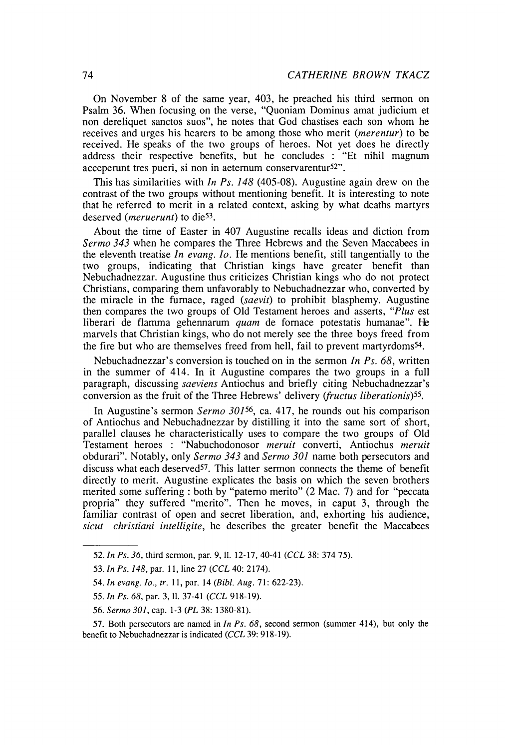On November 8 of the same year, 403, he preached his third sermon on Psalm 36. When focusing on the verse, "Quoniam Dominus amat judicium et non dereliquet sanctos suos", he notes that God chastises each son whom he receives and urges his hearers to be among those who merit *(merentur)* to be received. He speaks of the two groups of heroes. Not yet does he directly address their respective benefits, but he concludes : "Et nihil magnum acceperunt tres pueri, si non in aeternum conservarentur<sup>52</sup>".

This has similarities with *In Ps. 148* (405-08). Augustine again drew on the contrast of the two groups without mentioning benefit. It is interesting to note that he referred to merit in a related context, asking by what deaths martyrs deserved (meruerunt) to die<sup>53</sup>.

About the time of Easter in 407 Augustine recalls ideas and diction from *Sermo 343* when he compares the Three Hebrews and the Seven Maccabees in the eleventh treatise *In evang. Io.* He mentions benefit, still tangentially to the two groups, indicating that Christian kings have greater benefit than Nebuchadnezzar. Augustine thus criticizes Christian kings who do not protect Christians, comparing them unfavorably to Nebuchadnezzar who, converted by the miracle in the furnace, raged *(saevit)* to prohibit blasphemy. Augustine then compares the two groups of Old Testament heroes and asserts, *"Plus* est liberari de flamma gehennarum *quam* de fornace potestatis humanae". He marvels that Christian kings, who do not merely see the three boys freed from the fire but who are themselves freed from hell, fail to prevent martyrdoms<sup>54</sup>.

Nebuchadnezzar's conversion is touched on in the sermon *In Ps. 68,* written in the summer of 414. In it Augustine compares the two groups in a full paragraph, discussing *saeviens* Antiochus and briefly citing Nebuchadnezzar's conversion as the fruit of the Three Hebrews' delivery *(fructus liberationis)<sup>55</sup> .* 

In Augustine's sermon Sermo 301<sup>56</sup>, ca. 417, he rounds out his comparison of Antiochus and Nebuchadnezzar by distilling it into the same sort of short, parallel clauses he characteristically uses to compare the two groups of Old Testament heroes : "Nabuchodonosor meruit converti, Antiochus meruit obdurari". Notably, only *Sermo 343* and *Sermo 301* name both persecutors and discuss what each deserved<sup>57</sup>. This latter sermon connects the theme of benefit directly to merit. Augustine explicates the basis on which the seven brothers merited some suffering : both by "paterno merito" (2 Mac. 7) and for "peccata propria" they suffered "merito". Then he moves, in caput 3, through the familiar contrast of open and secret liberation, and, exhorting his audience, *sicut christiani intelligite,* he describes the greater benefit the Maccabees

- **54.** *In evang. Io., tr.* **11, par. 14** *(ßibl. Aug.* **71: 622-23).**
- 55. *In Ps. 68,* par. 3,11. 37-41 *(CCL* 918-19).
- 56. *Sermo 301,* cap. 1-3 *(PL* 38: 1380-81).

57. Both persecutors are named in *In Ps. 68,* second sermon (summer 414), but only the benefit to Nebuchadnezzar is indicated *(CCL* 39: 918-19).

<sup>52.</sup> *In Ps. 36,* third sermon, par. 9,11. 12-17, 40-41 *(CCL* 38: 374 75).

<sup>53.</sup> *In Ps. 148,* par. 11, line 27 *(CCL* 40: 2174).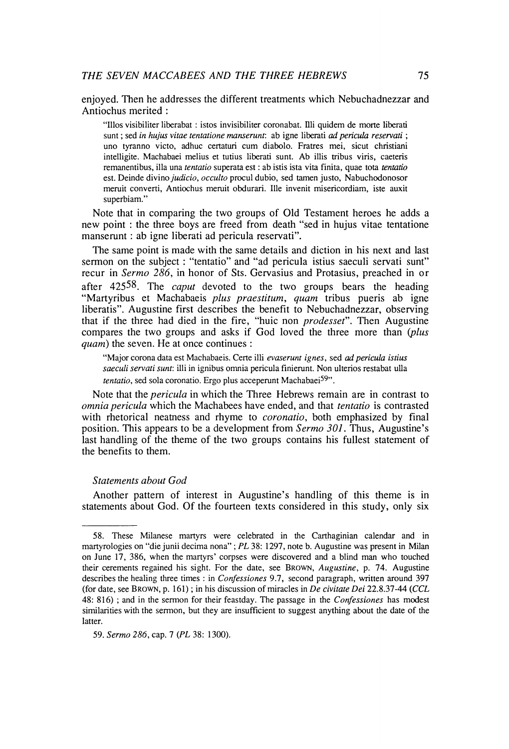enjoyed. Then he addresses the different treatments which Nebuchadnezzar and Antiochus merited :

"Illos visibiliter liberabat : istos invisibiliter coronabat. Uli quidem de morte liberati **sunt ; se**d *in hujus vitae tentatione manserunt:* **ab igne liberati** *ad pericula reservati* **;**  uno tyranno vieto, adhuc certaturi cum diabolo. Fratres mei, sicut christiani intelligite. Machabaei melius et tutius liberati sunt. Ab illis tribus vins, caeteris remanentibus, illa una *tentatio* superata est : ab istis ista vita finita, quae tota *tentatio* est. Deinde divino *judicio, occulto* procul dubio, sed tarnen justo, Nabuchodonosor meruit converti, Antiochus meruit obdurari. Ule invenit misericordiam, iste auxit superbiam."

Note that in comparing the two groups of Old Testament heroes he adds a new point : the three boys are freed from death "sed in hujus vitae tentatione manserunt : ab igne liberati ad pericula reservati".

The same point is made with the same details and diction in his next and last sermon on the subject : "tentatio" and "ad pericula istius saeculi servati sunt" recur in *Sermo 286,* in honor of Sts. Gervasius and Protasius, preached in or after 425<sup>58</sup>. The *caput* devoted to the two groups bears the heading "Martyribus et Machabaeis *plus praestitum, quam* tribus pueris ab igne liberatis". Augustine first describes the benefit to Nebuchadnezzar, observing that if the three had died in the fire, "huic non *prodesset".* Then Augustine compares the two groups and asks if God loved the three more than *(plus quam)* the seven. He at once continues :

"Major corona data est Machabaeis. Certe illi *evaserunt ignes,* sed *ad pericula istius saeculi servati sunt:* illi in ignibus omnia pericula finierunt. Non ulterios restabat ulla *tentatio*, sed sola coronatio. Ergo plus acceperunt Machabaei<sup>59</sup>".

Note that the *pericula* in which the Three Hebrews remain are in contrast to *omnia pericula* which the Machabees have ended, and that *tentatio* is contrasted with rhetorical neatness and rhyme to *coronatio,* both emphasized by final position. This appears to be a development from *Sermo 301.* Thus, Augustine's last handling of the theme of the two groups contains his fullest statement of the benefits to them.

## *Statements about God*

Another pattern of interest in Augustine's handling of this theme is in statements about God. Of the fourteen texts considered in this study, only six

<sup>58.</sup> These Milanese martyrs were celebrated in the Carthaginian calendar and in martyrologies on "die junii decima nona" ; *PL* 38: 1297, note b. Augustine was present in Milan on June 17, 386, when the martyrs' corpses were discovered and a blind man who touched their cerements regained his sight. For the date, see BROWN, *Augustine,* p. 74. Augustine describes the healing three times : in *Confessiones* 9.7, second paragraph, written around 397 (for date, see BROWN, p. 161) ; in his discussion of miracles in *De civitate Dei* 22.8.37-44 *(CCL*  48: 816) ; and in the sermon for their feastday. The passage in the *Confessiones* has modest similarities with the sermon, but they are insufficient to suggest anything about the date of the latter.

<sup>59.</sup> *Sermo 286,* cap. 7 *(PL* 38: 1300).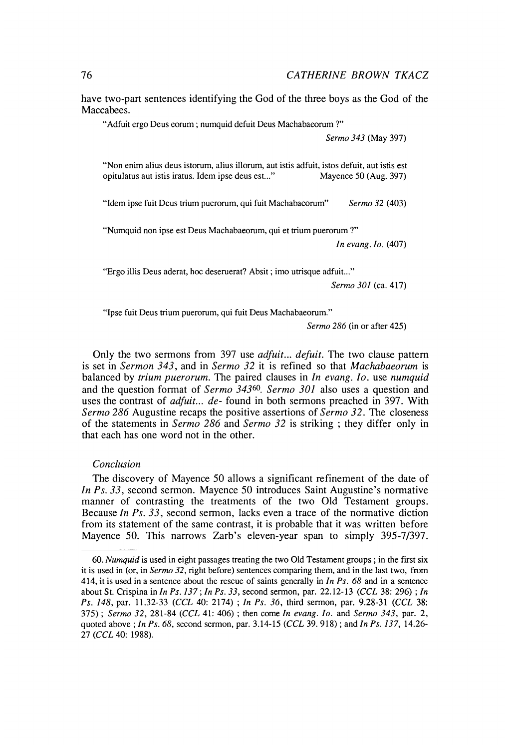have two-part sentences identifying the God of the three boys as the God of the Maccabees.

"Adfuit ergo Deus eorum ; numquid defuit Deus Machabaeorum ?"

*Sermo 343* (May 397)

"Non enim alius deus istorum, alius illorum, aut istis adfuit, istos defuit, aut istis est opitulatus aut istis iratus. Idem ipse deus est..."

"Idem ipse fuit Deus trium puerorum, qui fuit Machabaeorum" *Sermo 32* (403)

"Numquid non ipse est Deus Machabaeorum, qui et trium puerorum ?"

*In evang. Io.* **(407)** 

"Ergo illis Deus aderat, hoc deseruerat? Absit ; imo utrisque adfuit..."

*Sermo 301* (ca. 417)

"Ipse fuit Deus trium puerorum, qui fuit Deus Machabaeorum."

*Sermo 286* (in or after 425)

Only the two sermons from 397 use *adfuit... defuit.* The two clause pattern is set in *Sermon 343,* and in *Sermo 32* it is refined so that *Machabaeorum* is balanced by *trium puerorum.* The paired clauses in *In evang. Io.* use *numquid*  and the question format of *Sermo 343<sup>60</sup> . Sermo 301* also uses a question and uses the contrast of *adfuit... de-* found in both sermons preached in 397. With *Sermo 286* Augustine recaps the positive assertions of *Sermo 32.* The closeness of the statements in *Sermo 286* and *Sermo 32* is striking ; they differ only in that each has one word not in the other.

## *Conclusion*

The discovery of Mayence 50 allows a significant refinement of the date of *In Ps. 33,* second sermon. Mayence 50 introduces Saint Augustine's normative manner of contrasting the treatments of the two Old Testament groups. Because *In Ps. 33,* second sermon, lacks even a trace of the normative diction from its statement of the same contrast, it is probable that it was written before Mayence 50. This narrows Zarb's eleven-year span to simply 395-7/397.

<sup>60.</sup> *Numquid* is used in eight passages treating the two Old Testament groups ; in the first six it is used in (or, in *Sermo 32,* right before) sentences comparing them, and in the last two, from 414, it is used in a sentence about the rescue of saints generally in *In Ps. 68* and in a sentence about St. Crispina in *In Ps. 137 ; In Ps. 33,* second sermon, par. 22.12-13 *(CCL* 38: 296) ; *In Ps. 148,* par. 11.32-33 *(CCL* 40: 2174) ; *In Ps. 36,* third sermon, par. 9.28-31 *(CCL* 38: 375) ; *Sermo 32,* 281-84 *(CCL* 41: 406) ; then come *In evang. Io.* and *Sermo 343,* par. 2, quoted above ; *In Ps. 68,* second sermon, par. 3.14-15 *(CCL* 39. 918) ; and *In Ps. 137,* 14.26- 27 *(CCL* 40: 1988).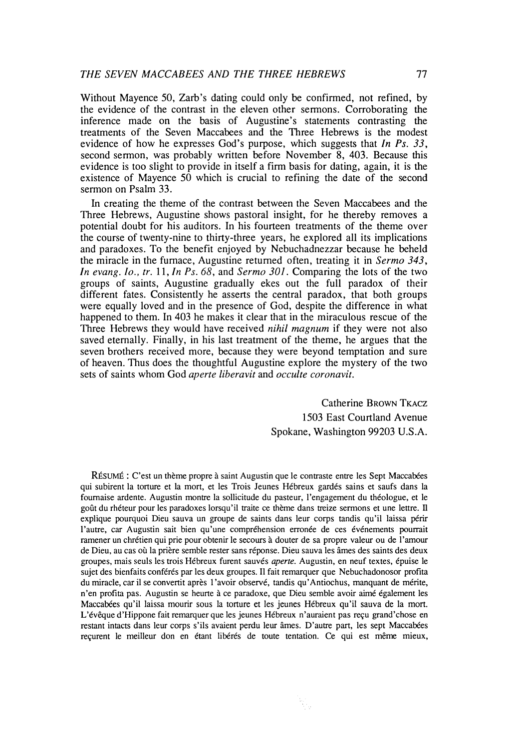Without Mayence 50, Zarb's dating could only be confirmed, not refined, by the evidence of the contrast in the eleven other sermons. Corroborating the inference made on the basis of Augustine's statements contrasting the treatments of the Seven Maccabees and the Three Hebrews is the modest evidence of how he expresses God's purpose, which suggests that *In Ps. 33,*  second sermon, was probably written before November 8, 403. Because this evidence is too slight to provide in itself a firm basis for dating, again, it is the existence of Mayence 50 which is crucial to refining the date of the second sermon on Psalm 33.

In creating the theme of the contrast between the Seven Maccabees and the Three Hebrews, Augustine shows pastoral insight, for he thereby removes a potential doubt for his auditors. In his fourteen treatments of the theme over the course of twenty-nine to thirty-three years, he explored all its implications and paradoxes. To the benefit enjoyed by Nebuchadnezzar because he beheld the miracle in the furnace, Augustine returned often, treating it in *Sermo 343, In evang. Io., tr.* 11, *In Ps. 68,* and *Sermo 301.* Comparing the lots of the two groups of saints, Augustine gradually ekes out the full paradox of their different fates. Consistently he asserts the central paradox, that both groups were equally loved and in the presence of God, despite the difference in what happened to them. In 403 he makes it clear that in the miraculous rescue of the Three Hebrews they would have received *nihil magnum* if they were not also saved eternally. Finally, in his last treatment of the theme, he argues that the seven brothers received more, because they were beyond temptation and sure of heaven. Thus does the thoughtful Augustine explore the mystery of the two sets of saints whom God *aperte liberavit* and *occulte coronavit*.

> Catherine BROWN TKACZ 1503 East Courtland Avenue Spokane, Washington 99203 U.S.A.

RÉSUMÉ : C'est un thème propre à saint Augustin que le contraste entre les Sept Maccabées qui subirent la torture et la mort, et les Trois Jeunes Hébreux gardés sains et saufs dans la fournaise ardente. Augustin montre la sollicitude du pasteur, l'engagement du théologue, et le goût du rhéteur pour les paradoxes lorsqu'il traite ce thème dans treize sermons et une lettre. Il explique pourquoi Dieu sauva un groupe de saints dans leur corps tandis qu'il laissa périr l'autre, car Augustin sait bien qu'une compréhension erronée de ces événements pourrait ramener un chrétien qui prie pour obtenir le secours à douter de sa propre valeur ou de l'amour de Dieu, au cas où la prière semble rester sans réponse. Dieu sauva les âmes des saints des deux groupes, mais seuls les trois Hébreux furent sauvés *aperte.* Augustin, en neuf textes, épuise le sujet des bienfaits conférés par les deux groupes. Il fait remarquer que Nebuchadonosor profita du miracle, car il se convertit après l'avoir observé, tandis qu'Antiochus, manquant de mérite, n'en profita pas. Augustin se heurte à ce paradoxe, que Dieu semble avoir aimé également les Maccabées qu'il laissa mourir sous la torture et les jeunes Hébreux qu'il sauva de la mort. L'évêque d'Hippone fait remarquer que les jeunes Hébreux n'auraient pas reçu grand'chose en restant intacts dans leur corps s'ils avaient perdu leur âmes. D'autre part, les sept Maccabées reçurent le meilleur don en étant libérés de toute tentation. Ce qui est même mieux,